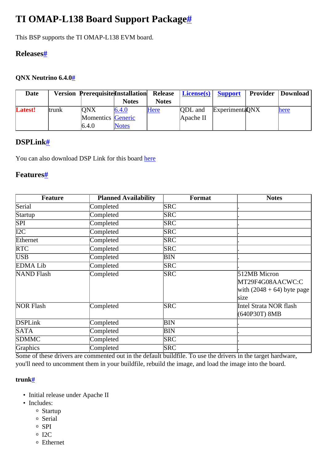# <span id="page-0-0"></span>**TI OMAP-L138 Board Support Packag[e#](#page-0-0)**

This BSP supports the TI OMAP-L138 EVM board.

#### <span id="page-0-1"></span>**Release[s#](#page-0-1)**

#### <span id="page-0-2"></span>**QNX Neutrino 6.4.[0#](#page-0-2)**

| <b>Date</b>    |        | <b>Version Prerequisite Installation</b> |              | <b>Release</b> | $License(s)$ Support |                        | <b>Provider   Download  </b> |
|----------------|--------|------------------------------------------|--------------|----------------|----------------------|------------------------|------------------------------|
|                |        |                                          | <b>Notes</b> | <b>Notes</b>   |                      |                        |                              |
| <b>Latest!</b> | ltrunk | <b>ONX</b>                               | 6.4.0        | Here           | <b>ODL</b> and       | <b>Experimenta ONX</b> | here                         |
|                |        | <b>Momentics</b> Generic                 |              |                | Apache II            |                        |                              |
|                |        | 6.4.0                                    | <b>Notes</b> |                |                      |                        |                              |

### <span id="page-0-3"></span>**DSPLink[#](#page-0-3)**

You can also download DSP Link for this board [here](http://community.qnx.com/sf/wiki/do/viewPage/projects.bsp/wiki/DSPLink)

#### <span id="page-0-4"></span>**Features[#](#page-0-4)**

| <b>Feature</b>    | <b>Planned Availability</b> | Format     | <b>Notes</b>                                                             |
|-------------------|-----------------------------|------------|--------------------------------------------------------------------------|
| Serial            | Completed                   | <b>SRC</b> |                                                                          |
| Startup           | Completed                   | <b>SRC</b> |                                                                          |
| SPI               | Completed                   | <b>SRC</b> |                                                                          |
| I2C               | Completed                   | <b>SRC</b> |                                                                          |
| Ethernet          | Completed                   | <b>SRC</b> |                                                                          |
| <b>RTC</b>        | Completed                   | <b>SRC</b> |                                                                          |
| USB               | Completed                   | BIN        |                                                                          |
| <b>EDMALib</b>    | Completed                   | <b>SRC</b> |                                                                          |
| <b>NAND</b> Flash | Completed                   | <b>SRC</b> | 512MB Micron<br>MT29F4G08AACWC:C<br>with $(2048 + 64)$ byte page<br>size |
| <b>NOR Flash</b>  | Completed                   | <b>SRC</b> | Intel Strata NOR flash<br>(640P30T) 8MB                                  |
| <b>DSPLink</b>    | Completed                   | BIN        |                                                                          |
| SATA              | Completed                   | ΒIΝ        |                                                                          |
| <b>SDMMC</b>      | Completed                   | <b>SRC</b> |                                                                          |
| Graphics          | Completed                   | <b>SRC</b> |                                                                          |

Some of these drivers are commented out in the default buildfile. To use the drivers in the target hardware, you'll need to uncomment them in your buildfile, rebuild the image, and load the image into the board.

#### <span id="page-0-5"></span>**trunk[#](#page-0-5)**

- Initial release under Apache II
- Includes:
	- <sup>o</sup> Startup
	- <sup>o</sup> Serial
	- <sup>o</sup> SPI
	- <sup>o</sup> I2C
	- <sup>o</sup> Ethernet